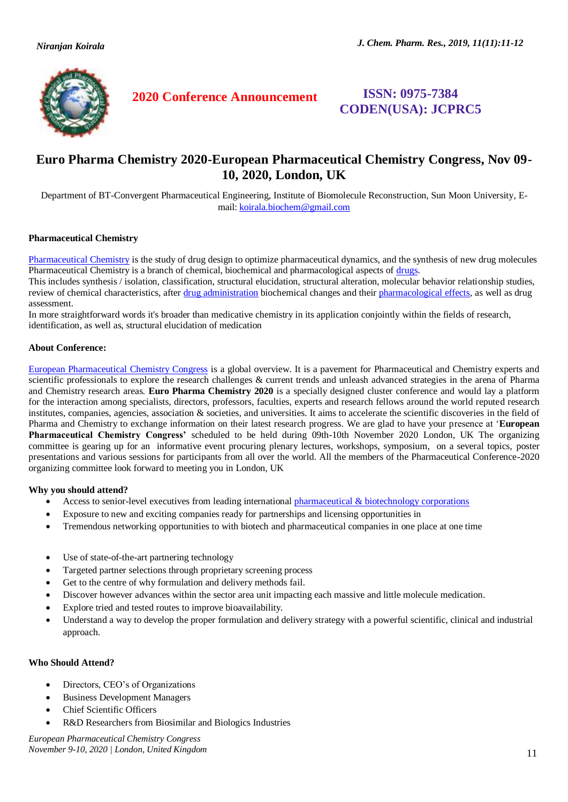

**2020 Conference Announcement ISSN: 0975-7384** 

**CODEN(USA): JCPRC5**

# **Euro Pharma Chemistry 2020-European Pharmaceutical Chemistry Congress, Nov 09- 10, 2020, London, UK**

Department of BT-Convergent Pharmaceutical Engineering, Institute of Biomolecule Reconstruction, Sun Moon University, Email[: koirala.biochem@gmail.com](mailto:koirala.biochem@gmail.com)

#### **Pharmaceutical Chemistry**

[Pharmaceutical Chemistry](https://europharmachemistry.alliedacademies.com/) is the study of drug design to optimize pharmaceutical dynamics, and the synthesis of new drug molecules Pharmaceutical Chemistry is a branch of chemical, biochemical and pharmacological aspects of [drugs.](https://europharmachemistry.alliedacademies.com/)

This includes synthesis / isolation, classification, structural elucidation, structural alteration, molecular behavior relationship studies, review of chemical characteristics, after [drug administration](https://europharmachemistry.alliedacademies.com/) biochemical changes and their [pharmacological effects,](https://europharmachemistry.alliedacademies.com/) as well as drug assessment.

In more straightforward words it's broader than medicative chemistry in its application conjointly within the fields of research, identification, as well as, structural elucidation of medication

#### **About Conference:**

[European Pharmaceutical Chemistry Congress](https://europharmachemistry.alliedacademies.com/) is a global overview. It is a pavement for Pharmaceutical and Chemistry experts and scientific professionals to explore the research challenges & current trends and unleash advanced strategies in the arena of Pharma and Chemistry research areas. **Euro Pharma Chemistry 2020** is a specially designed cluster conference and would lay a platform for the interaction among specialists, directors, professors, faculties, experts and research fellows around the world reputed research institutes, companies, agencies, association & societies, and universities. It aims to accelerate the scientific discoveries in the field of Pharma and Chemistry to exchange information on their latest research progress. We are glad to have your presence at '**European Pharmaceutical Chemistry Congress'** scheduled to be held during 09th-10th November 2020 London, UK The organizing committee is gearing up for an informative event procuring plenary lectures, workshops, symposium, on a several topics, poster presentations and various sessions for participants from all over the world. All the members of the Pharmaceutical Conference-2020 organizing committee look forward to meeting you in London, UK

## **Why you should attend?**

- Access to senior-level executives from leading international pharmaceutical  $\&$  biotechnology corporations
- Exposure to new and exciting companies ready for partnerships and licensing opportunities in
- Tremendous networking opportunities to with biotech and pharmaceutical companies in one place at one time
- Use of state-of-the-art partnering technology
- Targeted partner selections through proprietary screening process
- Get to the centre of why formulation and delivery methods fail.
- Discover however advances within the sector area unit impacting each massive and little molecule medication.
- Explore tried and tested routes to improve bioavailability.
- Understand a way to develop the proper formulation and delivery strategy with a powerful scientific, clinical and industrial approach.

#### **Who Should Attend?**

- Directors, CEO's of Organizations
- Business Development Managers
- Chief Scientific Officers
- R&D Researchers from Biosimilar and Biologics Industries

*European Pharmaceutical Chemistry Congress November 9-10, 2020 | London, United Kingdom* 11